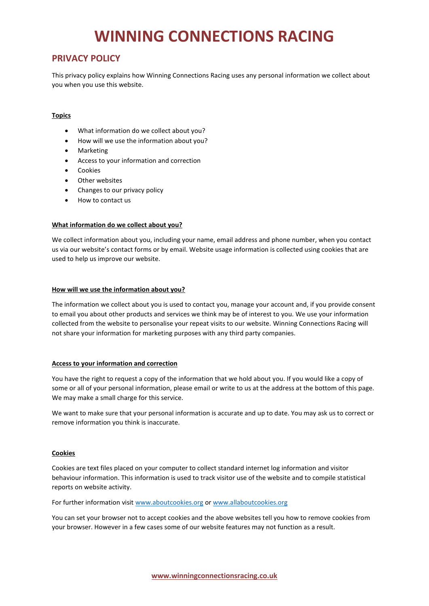# **WINNING CONNECTIONS RACING**

## **PRIVACY POLICY**

This privacy policy explains how Winning Connections Racing uses any personal information we collect about you when you use this website.

### **Topics**

- What information do we collect about you?
- How will we use the information about you?
- Marketing
- Access to your information and correction
- Cookies
- Other websites
- Changes to our privacy policy
- How to contact us

#### **What information do we collect about you?**

We collect information about you, including your name, email address and phone number, when you contact us via our website's contact forms or by email. Website usage information is collected using cookies that are used to help us improve our website.

#### **How will we use the information about you?**

The information we collect about you is used to contact you, manage your account and, if you provide consent to email you about other products and services we think may be of interest to you. We use your information collected from the website to personalise your repeat visits to our website. Winning Connections Racing will not share your information for marketing purposes with any third party companies.

#### **Access to your information and correction**

You have the right to request a copy of the information that we hold about you. If you would like a copy of some or all of your personal information, please email or write to us at the address at the bottom of this page. We may make a small charge for this service.

We want to make sure that your personal information is accurate and up to date. You may ask us to correct or remove information you think is inaccurate.

#### **Cookies**

Cookies are text files placed on your computer to collect standard internet log information and visitor behaviour information. This information is used to track visitor use of the website and to compile statistical reports on website activity.

For further information visit [www.aboutcookies.org](http://www.aboutcookies.org/) o[r www.allaboutcookies.org](http://www.allaboutcookies.org/)

You can set your browser not to accept cookies and the above websites tell you how to remove cookies from your browser. However in a few cases some of our website features may not function as a result.